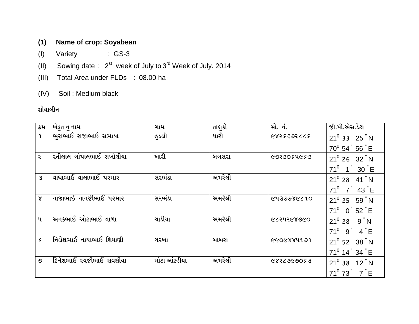## **(1) Name of crop: Soyabean**

- (I) Variety : GS-3
- (II) Sowing date :  $2^{st}$  week of July to  $3^{rd}$  Week of July. 2014
- (III) Total Area under FLDs : 08.00 ha
- (IV) Soil : Medium black

## <u>સોયાબીન</u>

| ક્રમ          | ખેડુત નુ નામ                   | ગામ          | તાલુકો | <u>મો. નં.</u> | જી.પી.એસ.ડેટા           |
|---------------|--------------------------------|--------------|--------|----------------|-------------------------|
| $\mathbf{q}$  | ભુરાભાઈ રાજાભાઈ સભાયા          | હુડલી        | ધારી   | 5772693652     | $21^0$ 33 $'$ 25 $"$ N  |
|               |                                |              |        |                | $70^0$ 54 56 $E$        |
| ર             | રતીલાલ ગોપાલભાઈ રાખોલીયા       | ખારી         | બગસરા  | ૯૭૨૭૦૬૫૯૬૭     | $21^0$ 26 $32$ N        |
|               |                                |              |        |                | $71^0$ 1 30 E           |
| $\mathcal{E}$ | વાધાભાઈ વાલાભાઈ પરમાર          | સરભંડા       | અમરેલી |                | $21^0$ 28 $'$ 41 $"N$   |
|               |                                |              |        |                | $71^0$ 7 43 E           |
| $\mathsf{X}$  | નાજાભાઈ નાનજીભાઈ પરમાર         | સરભંડા       | અમરેલી | 9139986610     | $21^0$ 25 59 N          |
|               |                                |              |        |                | $71^0$ 0 52 E           |
| $\mathbf{u}$  | અનકભાઈ ઓઢાભાઈ વાળા             | ચાડીયા       | અમરેલી | ૯૮૨૫૨૯૪૭૯૦     | $21^0$ 28 $'$ 9 $''$ N  |
|               |                                |              |        |                | $71^0$ 9 4 E            |
| ç             | <u>નિલેશભાઈ નાથાભાઈ શિયાણી</u> | ચરખા         | બાબરા  | 6606884191     | $21^0$ 52 $38$ N        |
|               |                                |              |        |                | $71^0$ 14 $34$ E        |
| ও             | દિનેશભાઈ રવજીભાઈ સવસીયા        | મોટા આંકડીયા | અમરેલી | 685069028      | $21^0$ 38 $'$ 12 $"N$   |
|               |                                |              |        |                | $71^0$ 73 7 $\degree$ E |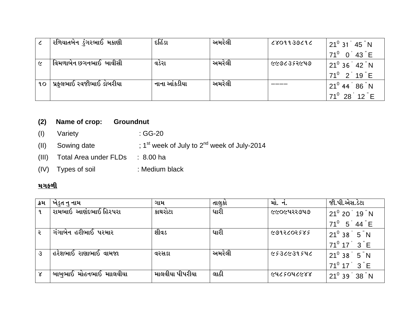|                 | રળિયાતબેન ડુંગરભાઈ મકાણી | દહિંડા       | અમરેલી | 2801139212 | $21^{\circ}$ 31 $45^{\circ}$ N |
|-----------------|--------------------------|--------------|--------|------------|--------------------------------|
|                 |                          |              |        |            | $71^0$ 0 43 E                  |
| $\epsilon$      | વિમળાબેન છગનભાઈ બાવીસી   | વડેરા        | અમરેલી | ૯૯૭૮૩૬૨૯૫૭ | $21^0$ 36 $'$ 42 $"$ N         |
|                 |                          |              |        |            | $71^0$ 2 19 E                  |
| 90 <sub>o</sub> | પ્રફલભાઈ રવજીભાઈ ડોબરીયા | નાના આંકડીયા | અમરેલી |            | $21^0$ 44 $^{'}$ 86 $^{''}$ N  |
|                 |                          |              |        |            | $71^0$ 28 12 E                 |

### **(2) Name of crop: Groundnut**

- (I) Variety : GG-20
- (II) Sowing date  $\qquad$ ; 1<sup>st</sup> week of July to 2<sup>nd</sup> week of July-2014
- (III) Total Area under FLDs : 8.00 ha
- (IV) Types of soil : Medium black

#### <u>મગફળી</u>

| $21^0$ 20 $'$ 19 $"$ N     |
|----------------------------|
|                            |
| $71^0$ 5 44 E              |
| $21^0$ 38 $\overline{5}$ N |
| $71^0$ 17 $3$ $\degree$ E  |
| $21^0$ 38 $\overline{5}$ N |
| $71^0$ 17 $3$ $\degree$ E  |
| $21^0$ 39 38 N             |
|                            |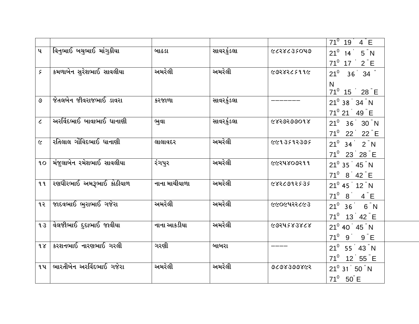|                          |                           |               |            |            | $71^0$ 19 4 E                         |
|--------------------------|---------------------------|---------------|------------|------------|---------------------------------------|
|                          |                           |               |            |            |                                       |
| $\mathbf{u}$             | વિનુભાઈ બચુભાઈ માંગુકીયા  | બાઢડા         | સાવરકુંડલા | 6658635049 | $21^0$ 14 5 N                         |
|                          |                           |               |            |            | $71^0$ 17 $2$ E                       |
| ç                        | કમળાબેન સુરેશભાઈ સાવલીયા  | અમરેલી        | અમરેલી     | 9998265996 | $21^0$ 36 34 $"$                      |
|                          |                           |               |            |            | N                                     |
|                          |                           |               |            |            | $71^0$ 15 $28$ E                      |
| ৩                        | જેતલબેન જીવરાજભાઈ ડાવરા   | કરજાળા        | સાવરકુંડલા |            | $21^0$ 38 $34$ N                      |
|                          |                           |               |            |            | $71^0$ 21 $'$ 49 $"$ E                |
| $\overline{\mathcal{L}}$ | અરવિંદભાઈ બાવાભાઈ ધાનાણી  | ભુવા          | સાવરકુંડલા | 6850500018 |                                       |
|                          |                           |               |            |            | $21^0$ 36 30 N                        |
|                          |                           |               |            |            | $71^0$ 22 $2^{\circ}$ 22 $^{\circ}$ E |
| $\epsilon$               | રતિલાલ ગોવિદભાઈ ધાનાણી    | લાલાવદર       | અમરેલી     | ૯૯૧૩૬૧૨૩૭૬ | $21^0$ 34 $2"N$                       |
|                          |                           |               |            |            | $71^0$ 23 28 E                        |
| 90 <sub>o</sub>          | મંજુલાબેન રમેશભાઈ સાવલીયા | રંગપુર        | અમરેલી     | ૯૯૨૫૪૦૭૨૧૧ | $21^0$ 35 $'$ 45 $"$ N                |
|                          |                           |               |            |            | $71^0$ 8 42 E                         |
| ૧૧                       | રણધીરભાઈ અમરૂભાઈ કોઠીયાળ  | નાના માચીયાળા | અમરેલી     | 9836995535 |                                       |
|                          |                           |               |            |            | $21^0$ 45 $'$ 12 $"N$                 |
|                          |                           |               |            |            | $71^0$ 8 4 E                          |
| ૧૨                       | જાદવભાઈ ભુરાભાઈ ગજેરા     | અમરેલી        | અમરેલી     | ૯૯૦૯૫૨૨૮૯૩ | $21^0$ 36 6 N                         |
|                          |                           |               |            |            | $71^0$ 13 42 E                        |
| 93                       | વેલજીભાઈ દુદાભાઈ જાવીયા   | નાના આકડીયા   | અમરેલી     | 6951283868 | $21^0$ 40 $'$ 45 $"N$                 |
|                          |                           |               |            |            | $71^0$ 9 9 $\textdegree$ E            |
| 98                       | કરશનભાઈ નારણભાઈ ગરલી      | ગરણી          | બાબરા      |            |                                       |
|                          |                           |               |            |            | $21^0$ 55 43 N                        |
|                          |                           |               |            |            | $71^0$ 12 55 E                        |
| ૧૫                       | ભારતીબેન અરવિંદભાઈ ગજેરા  | અમરેલી        | અમરેલી     | 9698399865 | $21^0$ 31 50 $\degree$ N              |
|                          |                           |               |            |            | $71^0$ 50 E                           |
|                          |                           |               |            |            |                                       |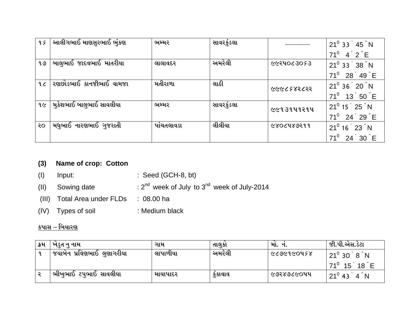| 95           | આલીગભાઈ માણસુરભાઈ ભુંકણ  | ભમ્મર      | સાવરકુંડલા |             | $21^0$ 33 45 N                            |
|--------------|--------------------------|------------|------------|-------------|-------------------------------------------|
|              |                          |            |            |             | $71^0$<br>$4^{\degree}$ 2 $^{\degree}$ E  |
| १७           | બાલુભાઈ જાદવભાઈ માતરીયા  | લાલાવદર    | અમરેલી     | ૯૯૨૫૦૮૩૦૬૩  | $21^0$ 33 $'$ 38 $"N$                     |
|              |                          |            |            |             | $71^0$<br>$28^\circ 49^\circ$ E           |
| 9C           | રણછોડભાઈ કાનજીભાઈ વામજા  | મતીરાળા    | લાઠી       | ८८४२४२४२८२२ | $21^0$ 36 $'$ 20 $"$ N                    |
|              |                          |            |            |             | $71^0$<br>$13$ 50 $E$                     |
| १ $\epsilon$ | મુકેશભાઈ બાલુભાઈ સાવલીયા | ભમ્મર      | સાવરકુંડલા | ૯૯૧૩૧૫૧૨૧૫  | $21^0$ 15 $^{\degree}$ 25 $^{\degree}$ N  |
|              |                          |            |            |             | $71^0$<br>$24^{\degree}$ 29 $\degree$ E   |
| २०           | મધુભાઈ નારણભાઈ ગુજરાતી   | પાંચતલાવડા | લીલીયા     | G80C489299  | $21^0$ 16 $23$ N                          |
|              |                          |            |            |             | $71^0$<br>24 <sup>2</sup><br>$30^\circ$ E |

### **(3) Name of crop: Cotton**

- (I) Input: : Seed (GCH-8, bt)
- (II) Sowing date  $: 2^{nd}$  week of July to  $3^{nd}$  week of July-2014
- (III) Total Area under FLDs : 08.00 ha
- (IV) Types of soil : Medium black

## <u>કપાસ – બિયારણ</u>

| ∣ ક્રમ       | ખંડુત નુ નામ               | ગામ      | તાલકા   | માં.       | જી.પી.એસ.ડેટા                   |
|--------------|----------------------------|----------|---------|------------|---------------------------------|
| $\mathbf{q}$ | જયાબેન પ્રવિણભાઈ લુણાગરીયા | લાપાળીયા | અમરેલી  | ८८७૯१૯०५६४ | $21^0$ 30 $8$ N                 |
|              |                            |          |         |            | $71^0$ 15<br>$18$ E             |
|              | ભીખુભાઈ ટપુભાઈ સાવલીયા     | માયાપાદર | કુકાવાવ | ૯૭૨૪૭૮૯૦૫૫ | $21^0$ 43<br>່ 4 <sup>"</sup> N |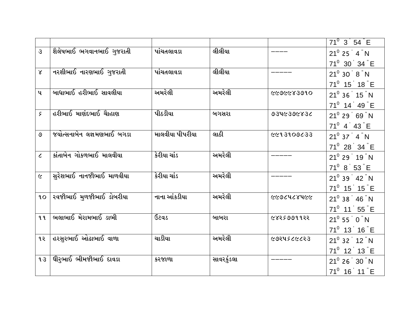|                             |                               |                 |            |            | $71^0$ 3 54 E                       |
|-----------------------------|-------------------------------|-----------------|------------|------------|-------------------------------------|
| $\mathcal{S}$               | શૈલેષભાઈ ભગવાનભાઈ ગુજરાતી     | પાંચતલાવડા      | લીલીયા     |            | $21^0$ 25 $'$ 4 $"$ N               |
|                             |                               |                 |            |            | 71 <sup>0</sup> 30 34 E             |
| $\chi$                      | નરશીભાઈ નારણભાઈ ગુજરાતી       | પાંચતલાવડા      | લીલીયા     |            | $21^0$ 30 $8$ N                     |
|                             |                               |                 |            |            | $71^0$ 15 18 E                      |
| $\mathbf{u}$                | બાધાભાઈ હરીભાઈ સાવલીયા        | અમરેલી          | અમરેલી     | 0106683909 | $21^0$ 36 $'$ 15 $"N$               |
|                             |                               |                 |            |            | $71^0$ 14 49 E                      |
| $\varsigma$                 | હરીભાઈ માણંદભાઈ ચાૈહાણ        | પીઠડીયા         | બગસરા      | 9346396836 | $21^0$ 29 $^{'}$ 69 $^{''}$ N       |
|                             |                               |                 |            |            | $71^0$ 4 43 E                       |
| ৩                           | જયોત્સનાબેન લજ્ઞમણભાઈ બગડા    | માલવીયા પીપરીયા | લાઠી       | 6678008633 | $21^0$ 37 $4^{\degree}$ N           |
|                             |                               |                 |            |            | 71 <sup>0</sup> 28 34 E             |
| $\mathcal{L}_{\mathcal{L}}$ | કાંતાબેન ગોકળભાઈ માલવીયા      | કેરીયા ચાંડ     | અમરેલી     |            | $21^0$ 29 $'$ 19 $"N$               |
|                             |                               |                 |            |            | $71^0$ 8 53 E                       |
| $\tilde{\mathbf{c}}$        | સુરેશભાઈ નાનજીભાઈ માળવીયા     | કેરીયા ચાંડ     | અમરેલી     |            | $21^0$ 39 $42$ N                    |
|                             |                               |                 |            |            | $71^0$ 15 15 E                      |
| 90                          | રવજીભાઈ મુળજીભાઈ ડોબરીયા      | નાના આંકડીયા    | અમરેલી     | ૯૯૭૮૫૮૪૫૯૯ | $21^0$ 38 $'$ 46 $"N$               |
|                             |                               |                 |            |            | $71^0$ 11 55 E                      |
| 99                          | ભલાભાઈ મેરામભાઈ ડાભી          | ઉટવડ            | બાબરા      | ૯४२६७७११२२ | $21^0$ 55 $^{\circ}$ 0 $^{\circ}$ N |
|                             |                               |                 |            |            | $71^0$ 13 16 E                      |
| ૧૨                          | હરસુરભાઈ ઓઢાભાઈ વાળા          | ચાડીયા          | અમરેલી     | ८७२५५८८८२३ | $21^0$ 32 $'$ 12 $"N$               |
|                             |                               |                 |            |            | $71^0$ 12 13 E                      |
| 93                          | <b>ઘીરૃભાઈ ભીમજીભાઈ દાવડા</b> | કરજાળા          | સાવરકુંડલા |            | $21^0$ 26 $30$ N                    |
|                             |                               |                 |            |            | $71^0$ 16 11 E                      |
|                             |                               |                 |            |            |                                     |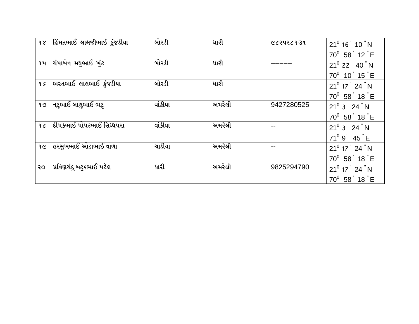| 98 | હિંમતભાઈ લાલજીભાઈ કુંજડીયા | બોરડી   | ધારી   | ૯૮૨૫૨૮૧૩૧  | $21^0$ 16 $'$ 10 $"$ N |
|----|----------------------------|---------|--------|------------|------------------------|
|    |                            |         |        |            | $70^0$ 58 12 E         |
| ૧૫ | ચંપાબેન મધુભાઈ ખુંટ        | બોરડી   | ધારી   |            | $21^0$ 22 $'$ 40 $"$ N |
|    |                            |         |        |            | $70^0$ 10 15 E         |
| qç | ભરતભાઈ લાલભાઈ કુંજડીયા     | બોરડી   | ધારી   |            | $21^0$ 17 $'$ 24 $"$ N |
|    |                            |         |        |            | $70^0$ 58 18 E         |
| १७ | નટુભાઈ બાલુભાઈ ભટ્ટ        | વાંકીયા | અમરેલી | 9427280525 | $21^0$ 3 $24$ N        |
|    |                            |         |        |            | $70^0$ 58 18 E         |
| 9C | દીપકભાઈ પોપટભાઈ સિધ્ધપરા   | વાંકીયા | અમરેલી |            | $21^0$ 3 $'$ 24 $"$ N  |
|    |                            |         |        |            | $71^0$ 9 45 E          |
| 96 | હરસુખભાઈ ઓઢાભાઈ વાળા       | ચાડીયા  | અમરેલી |            | $21^0$ 17 $24$ N       |
|    |                            |         |        |            | $70^0$ 58 18 E         |
| २० | પ્રવિણચંદૂ બટુકભાઈ પટેલ    | ધારી    | અમરેલી | 9825294790 | $21^0$ 17 $24$ N       |
|    |                            |         |        |            | $70^0$ 58 18 E         |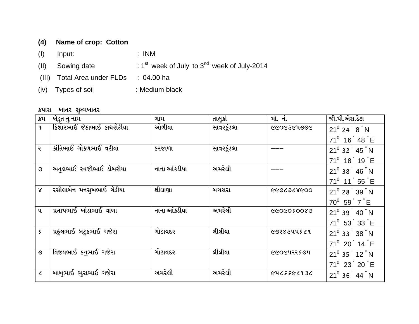## **(4) Name of crop: Cotton**

- (I) Input: : INM
- (II) Sowing date  $1^{st}$  week of July to  $3^{nd}$  week of July-2014
- (III) Total Area under FLDs : 04.00 ha
- (iv) Types of soil : Medium black

#### <u>કપાસ – ખાતર–સુક્ષ્મખાતર</u>

| ક્રમ          | ખેડુત નુ નામ               | ગામ          | તાલુકો     | મો. નં.    | જી.પી.એસ.ડેટા            |
|---------------|----------------------------|--------------|------------|------------|--------------------------|
| $\mathbf{q}$  | કિશોરભાઈ જેઠાભાઈ કાથરોટીયા | ઓળીયા        | સાવરકુંડલા | ૯૯૦૯૩૯૫૭૭૯ | $21^0$ 24 $8"N$          |
|               |                            |              |            |            | $71^0$ 16 48 E           |
| ર             | કાંતિભાઈ ગોકળભાઈ વરીયા     | કરજાળા       | સાવરકુંડલા |            | $21^0$ 32 $'$ 45 $"$ N   |
|               |                            |              |            |            | 71 <sup>0</sup> 18 19 E  |
| $\mathcal{S}$ | અતુલભાઈ ૨વજીભાઈ ડોબરીયા    | નાના આંકડીયા | અમરેલી     |            | $21^0$ 38 $'$ 46 $"N$    |
|               |                            |              |            |            | $71^0$ 11 55 E           |
| $\mathsf{X}$  | રસીલાબેન મનસુખભાઈ ગેડીયા   | શીલાણા       | બગસરા      | 0098302999 | $21^0$ 28 $'$ 39 $"N$    |
|               |                            |              |            |            | $70^0$ 59 $7$ E          |
| $\mathbf{u}$  | પ્રતાપભાઈ ખોડાભાઈ વાળા     | નાના આંકડીયા | અમરેલી     | 680050099  | $21^0$ 39 $'$ 40 $"$ N   |
|               |                            |              |            |            | $71^0$ 53 33 E           |
| ç             | પ્રફલભાઈ બટુકભાઈ ગજેરા     | ગોઢાવદર      | લીલીયા     | ૯૭૨૪૩૫૫૬૮૧ | $21^0$ 33 38 $\degree$ N |
|               |                            |              |            |            | $71^0$ 20 14 E           |
| ৩             | વિજયભાઈ કનુભાઈ ગજેરા       | ગોઢાવદર      | લીલીયા     | ૯૯૦૯૫૨૨૬૭૫ | $21^0$ 35 $'$ 12 $"$ N   |
|               |                            |              |            |            | $71^0$ 23 20 E           |
| $\epsilon$    | બાબુભાઈ ભુરાભાઈ ગજેરા      | અમરેલી       | અમરેલી     | 9613353676 | $21^0$ 36 44 N           |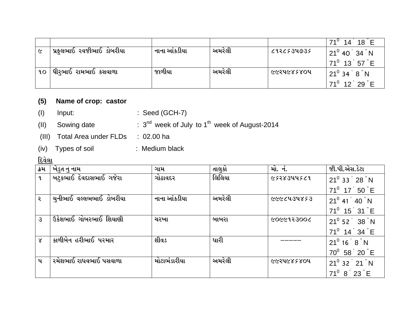|                 |                                    |              |        |                          | $18$ E<br>$71^\circ$<br>14               |
|-----------------|------------------------------------|--------------|--------|--------------------------|------------------------------------------|
| $\epsilon$      | પ્રફુલભાઈ રવજીભાઈ ડોબરીયા          | નાના આંકડીયા | અમરેલી | 9564337937               | $21^0$ 40 $34$ N                         |
|                 |                                    |              |        |                          | $71^0$ 13 57 E                           |
| 90 <sub>o</sub> | <sub>.</sub> ધીરૃભાઈ રામભાઈ કસવાળા | જાળીયા       | અમરેલી | <i><b>GGSAGREROA</b></i> | $121^0$ 34 $^{\degree}$ 8 $^{\degree}$ N |
|                 |                                    |              |        |                          | $71^0$ 12 29 E                           |

### **(5) Name of crop: castor**

- (I) Input: : Seed (GCH-7)
- (II) Sowing date <sup>nd</sup> week of July to 1<sup>th</sup> week of August-2014
- (III) Total Area under FLDs : 02.00 ha
- (iv) Types of soil : Medium black

# <u>દિવેલા</u>

| ક્રમ         | ખેડુત નુ નામ            | ગામ          | તાલુકો | મો. નં.                  | જી.પી.એસ.ડેટા          |
|--------------|-------------------------|--------------|--------|--------------------------|------------------------|
| $\mathbf{q}$ | બટુકભાઈ દેવદાસભાઈ ગજેરા | ગોઢાવદર      | લિલિયા | ૯૬૨૪૩૫૫૬૮૧               | $21^0$ 33 $'$ 28 $"N$  |
|              |                         |              |        |                          | $71^0$ 17 50 E         |
| २            | ચનીભાઈ વલ્લભભાઈ ડોબરીયા | નાના આંકડીયા | અમરેલી | ૯૯૯८૫૩૫४६३               | $21^0$ 41 $40$ N       |
|              |                         |              |        |                          | $71^0$ 15 31 E         |
| З            | ઉકેશભાઈ ગોબરભાઈ શિયાણી  | ચરખા         | બાબરા  | 9006913900               | $21^0$ 52 $'$ 38 $"N$  |
|              |                         |              |        |                          | $71^0$ 14 34 E         |
| $\lambda$    | કાળીબેન હરીભાઈ પરમાર    | શીવડ         | ધારી   |                          | $21^0$ 16 $8$ N        |
|              |                         |              |        |                          | $70^0$ 58 20 E         |
| પ            | રમેશભાઈ રાધવભાઈ પસવાળા  | મોટાભંડારીયા | અમરેલી | <i><b>GGSAGREROA</b></i> | $21^0$ 32 $'$ 21 $"$ N |
|              |                         |              |        |                          | $71^0$ 8 23 E          |